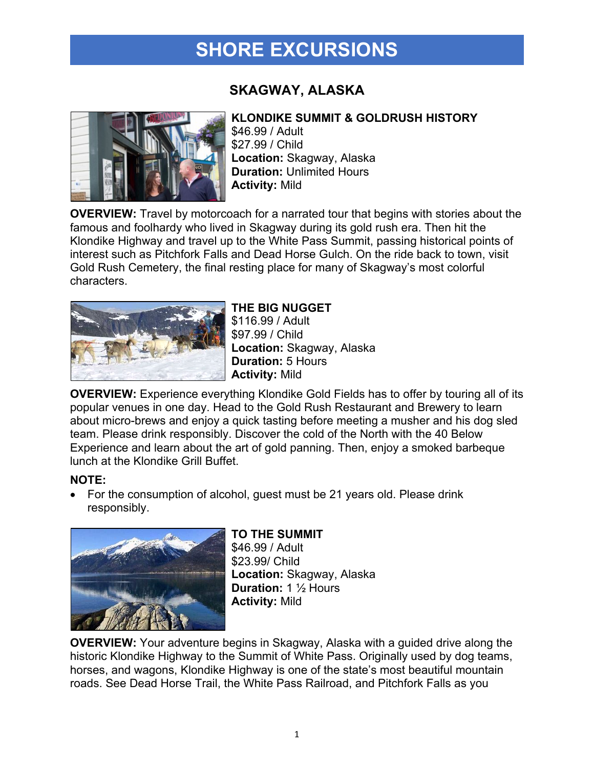## **SHORE EXCURSIONS**

## **SKAGWAY, ALASKA**



### **KLONDIKE SUMMIT & GOLDRUSH HISTORY**

\$46.99 / Adult \$27.99 / Child **Location:** Skagway, Alaska **Duration:** Unlimited Hours **Activity:** Mild

**OVERVIEW:** Travel by motorcoach for a narrated tour that begins with stories about the famous and foolhardy who lived in Skagway during its gold rush era. Then hit the Klondike Highway and travel up to the White Pass Summit, passing historical points of interest such as Pitchfork Falls and Dead Horse Gulch. On the ride back to town, visit Gold Rush Cemetery, the final resting place for many of Skagway's most colorful characters.



**THE BIG NUGGET** \$116.99 / Adult \$97.99 / Child **Location:** Skagway, Alaska **Duration:** 5 Hours **Activity:** Mild

**OVERVIEW:** Experience everything Klondike Gold Fields has to offer by touring all of its popular venues in one day. Head to the Gold Rush Restaurant and Brewery to learn about micro-brews and enjoy a quick tasting before meeting a musher and his dog sled team. Please drink responsibly. Discover the cold of the North with the 40 Below Experience and learn about the art of gold panning. Then, enjoy a smoked barbeque lunch at the Klondike Grill Buffet.

#### **NOTE:**

• For the consumption of alcohol, guest must be 21 years old. Please drink responsibly.



### **TO THE SUMMIT**

\$46.99 / Adult \$23.99/ Child **Location:** Skagway, Alaska **Duration:** 1 ½ Hours **Activity:** Mild

**OVERVIEW:** Your adventure begins in Skagway, Alaska with a guided drive along the historic Klondike Highway to the Summit of White Pass. Originally used by dog teams, horses, and wagons, Klondike Highway is one of the state's most beautiful mountain roads. See Dead Horse Trail, the White Pass Railroad, and Pitchfork Falls as you